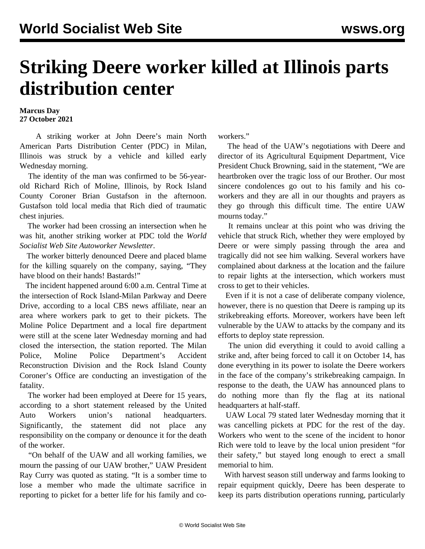## **Striking Deere worker killed at Illinois parts distribution center**

## **Marcus Day 27 October 2021**

 A striking worker at John Deere's main North American Parts Distribution Center (PDC) in Milan, Illinois was struck by a vehicle and killed early Wednesday morning.

 The identity of the man was confirmed to be 56-yearold Richard Rich of Moline, Illinois, by Rock Island County Coroner Brian Gustafson in the afternoon. Gustafson told local media that Rich died of traumatic chest injuries.

 The worker had been crossing an intersection when he was hit, another striking worker at PDC told the *World Socialist Web Site Autoworker Newsletter*.

 The worker bitterly denounced Deere and placed blame for the killing squarely on the company, saying, "They have blood on their hands! Bastards!"

 The incident happened around 6:00 a.m. Central Time at the intersection of Rock Island-Milan Parkway and Deere Drive, according to a local CBS news affiliate, near an area where workers park to get to their pickets. The Moline Police Department and a local fire department were still at the scene later Wednesday morning and had closed the intersection, the station reported. The Milan Police, Moline Police Department's Accident Reconstruction Division and the Rock Island County Coroner's Office are conducting an investigation of the fatality.

 The worker had been employed at Deere for 15 years, according to a short statement released by the United Auto Workers union's national headquarters. Significantly, the statement did not place any responsibility on the company or denounce it for the death of the worker.

 "On behalf of the UAW and all working families, we mourn the passing of our UAW brother," UAW President Ray Curry was quoted as stating. "It is a somber time to lose a member who made the ultimate sacrifice in reporting to picket for a better life for his family and coworkers."

 The head of the UAW's negotiations with Deere and director of its Agricultural Equipment Department, Vice President Chuck Browning, said in the statement, "We are heartbroken over the tragic loss of our Brother. Our most sincere condolences go out to his family and his coworkers and they are all in our thoughts and prayers as they go through this difficult time. The entire UAW mourns today."

 It remains unclear at this point who was driving the vehicle that struck Rich, whether they were employed by Deere or were simply passing through the area and tragically did not see him walking. Several workers have complained about darkness at the location and the failure to repair lights at the intersection, which workers must cross to get to their vehicles.

 Even if it is not a case of deliberate company violence, however, there is no question that Deere is ramping up its strikebreaking efforts. Moreover, workers have been left vulnerable by the UAW to attacks by the company and its efforts to deploy state repression.

 The union did everything it could to avoid calling a strike and, after being forced to call it on October 14, has done everything in its power to isolate the Deere workers in the face of the company's strikebreaking campaign. In response to the death, the UAW has announced plans to do nothing more than fly the flag at its national headquarters at half-staff.

 UAW Local 79 stated later Wednesday morning that it was cancelling pickets at PDC for the rest of the day. Workers who went to the scene of the incident to honor Rich were told to leave by the local union president "for their safety," but stayed long enough to erect a small memorial to him.

 With harvest season still underway and farms looking to repair equipment quickly, Deere has been desperate to keep its parts distribution operations running, particularly